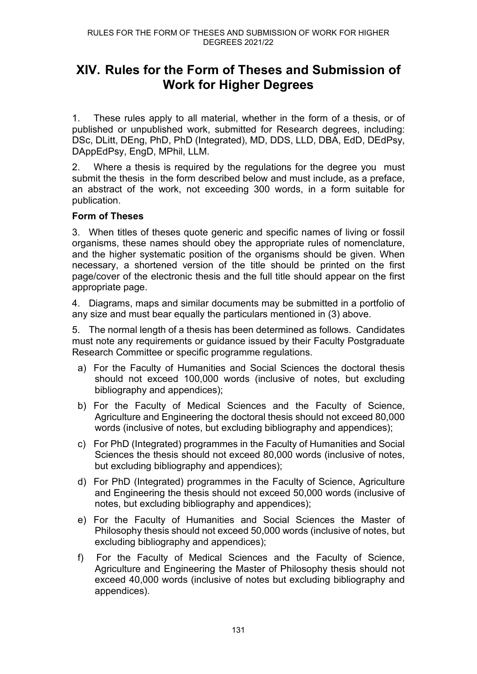# **XIV. Rules for the Form of Theses and Submission of Work for Higher Degrees**

1. These rules apply to all material, whether in the form of a thesis, or of published or unpublished work, submitted for Research degrees, including: DSc, DLitt, DEng, PhD, PhD (Integrated), MD, DDS, LLD, DBA, EdD, DEdPsy, DAppEdPsy, EngD, MPhil, LLM.

2. Where a thesis is required by the regulations for the degree you must submit the thesis in the form described below and must include, as a preface, an abstract of the work, not exceeding 300 words, in a form suitable for publication.

# **Form of Theses**

3. When titles of theses quote generic and specific names of living or fossil organisms, these names should obey the appropriate rules of nomenclature, and the higher systematic position of the organisms should be given. When necessary, a shortened version of the title should be printed on the first page/cover of the electronic thesis and the full title should appear on the first appropriate page.

4. Diagrams, maps and similar documents may be submitted in a portfolio of any size and must bear equally the particulars mentioned in (3) above.

5. The normal length of a thesis has been determined as follows. Candidates must note any requirements or guidance issued by their Faculty Postgraduate Research Committee or specific programme regulations.

- a) For the Faculty of Humanities and Social Sciences the doctoral thesis should not exceed 100,000 words (inclusive of notes, but excluding bibliography and appendices);
- b) For the Faculty of Medical Sciences and the Faculty of Science, Agriculture and Engineering the doctoral thesis should not exceed 80,000 words (inclusive of notes, but excluding bibliography and appendices);
- c) For PhD (Integrated) programmes in the Faculty of Humanities and Social Sciences the thesis should not exceed 80,000 words (inclusive of notes, but excluding bibliography and appendices);
- d) For PhD (Integrated) programmes in the Faculty of Science, Agriculture and Engineering the thesis should not exceed 50,000 words (inclusive of notes, but excluding bibliography and appendices);
- e) For the Faculty of Humanities and Social Sciences the Master of Philosophy thesis should not exceed 50,000 words (inclusive of notes, but excluding bibliography and appendices);
- f) For the Faculty of Medical Sciences and the Faculty of Science, Agriculture and Engineering the Master of Philosophy thesis should not exceed 40,000 words (inclusive of notes but excluding bibliography and appendices).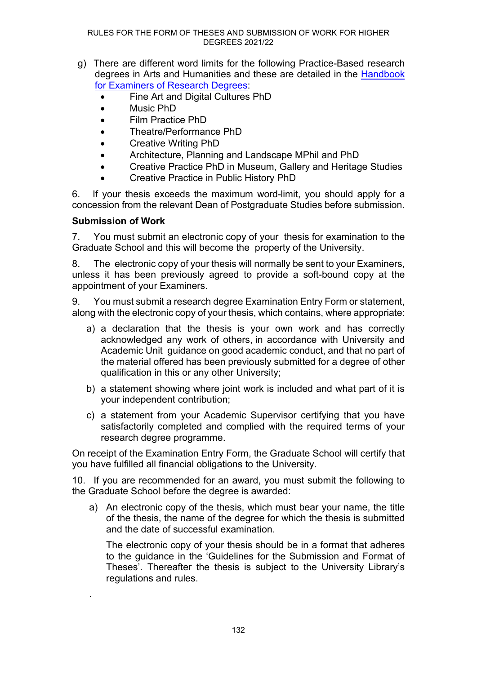- g) There are different word limits for the following Practice-Based research degrees in Arts and Humanities and these are detailed in the [Handbook](https://www.ncl.ac.uk/student-progress/pgr/publications/)  [for Examiners of Research Degrees:](https://www.ncl.ac.uk/student-progress/pgr/publications/)
	- Fine Art and Digital Cultures PhD
	- Music PhD
	- Film Practice PhD
	- Theatre/Performance PhD
	- Creative Writing PhD
	- Architecture, Planning and Landscape MPhil and PhD
	- Creative Practice PhD in Museum, Gallery and Heritage Studies
	- Creative Practice in Public History PhD

6. If your thesis exceeds the maximum word-limit, you should apply for a concession from the relevant Dean of Postgraduate Studies before submission.

# **Submission of Work**

.

7. You must submit an electronic copy of your thesis for examination to the Graduate School and this will become the property of the University.

8. The electronic copy of your thesis will normally be sent to your Examiners, unless it has been previously agreed to provide a soft-bound copy at the appointment of your Examiners.

9. You must submit a research degree Examination Entry Form or statement, along with the electronic copy of your thesis, which contains, where appropriate:

- a) a declaration that the thesis is your own work and has correctly acknowledged any work of others, in accordance with University and Academic Unit guidance on good academic conduct, and that no part of the material offered has been previously submitted for a degree of other qualification in this or any other University;
- b) a statement showing where joint work is included and what part of it is your independent contribution;
- c) a statement from your Academic Supervisor certifying that you have satisfactorily completed and complied with the required terms of your research degree programme.

On receipt of the Examination Entry Form, the Graduate School will certify that you have fulfilled all financial obligations to the University.

10. If you are recommended for an award, you must submit the following to the Graduate School before the degree is awarded:

a) An electronic copy of the thesis, which must bear your name, the title of the thesis, the name of the degree for which the thesis is submitted and the date of successful examination.

The electronic copy of your thesis should be in a format that adheres to the guidance in the ['Guidelines for the Submission and Format of](https://www.ncl.ac.uk/media/wwwnclacuk/studentprogress/files/pgr/2020/Guideline%20for%20Submission%20and%20Format%20of%20Theses%20August%202020.pdf)  [Theses'](https://www.ncl.ac.uk/media/wwwnclacuk/studentprogress/files/pgr/2020/Guideline%20for%20Submission%20and%20Format%20of%20Theses%20August%202020.pdf). Thereafter the thesis is subject to the University Library's regulations and rules.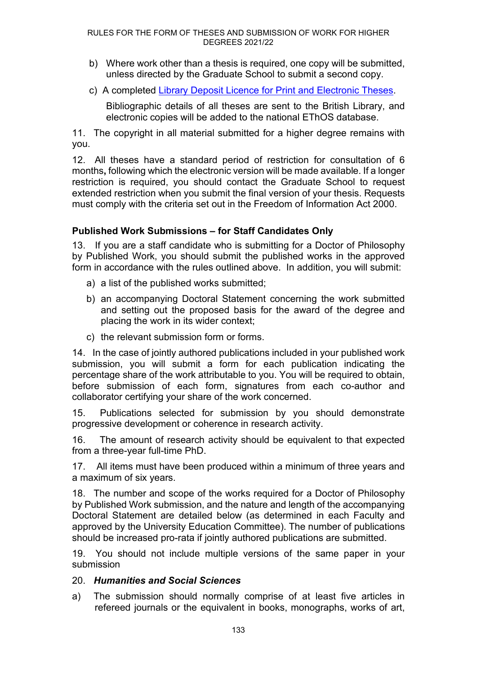- b) Where work other than a thesis is required, one copy will be submitted, unless directed by the Graduate School to submit a second copy.
- c) A completed [Library Deposit Licence for Print and Electronic Theses.](https://www.ncl.ac.uk/student-progress/pgr/activities/examination/)

Bibliographic details of all theses are sent to the British Library, and electronic copies will be added to the national EThOS database.

11. The copyright in all material submitted for a higher degree remains with you.

12. All theses have a standard period of restriction for consultation of 6 months**,** following which the electronic version will be made available. If a longer restriction is required, you should contact the Graduate School to request extended restriction when you submit the final version of your thesis. Requests must comply with the criteria set out in the Freedom of Information Act 2000.

# **Published Work Submissions – for Staff Candidates Only**

13. If you are a staff candidate who is submitting for a Doctor of Philosophy by Published Work, you should submit the published works in the approved form in accordance with the rules outlined above. In addition, you will submit:

- a) a list of the published works submitted;
- b) an accompanying Doctoral Statement concerning the work submitted and setting out the proposed basis for the award of the degree and placing the work in its wider context;
- c) the relevant submission form or forms.

14. In the case of jointly authored publications included in your published work submission, you will submit a form for each publication indicating the percentage share of the work attributable to you. You will be required to obtain, before submission of each form, signatures from each co-author and collaborator certifying your share of the work concerned.

15. Publications selected for submission by you should demonstrate progressive development or coherence in research activity.

16. The amount of research activity should be equivalent to that expected from a three-year full-time PhD.

17. All items must have been produced within a minimum of three years and a maximum of six years.

18. The number and scope of the works required for a Doctor of Philosophy by Published Work submission, and the nature and length of the accompanying Doctoral Statement are detailed below (as determined in each Faculty and approved by the University Education Committee). The number of publications should be increased pro-rata if jointly authored publications are submitted.

19. You should not include multiple versions of the same paper in your submission

# 20. *Humanities and Social Sciences*

a) The submission should normally comprise of at least five articles in refereed journals or the equivalent in books, monographs, works of art,